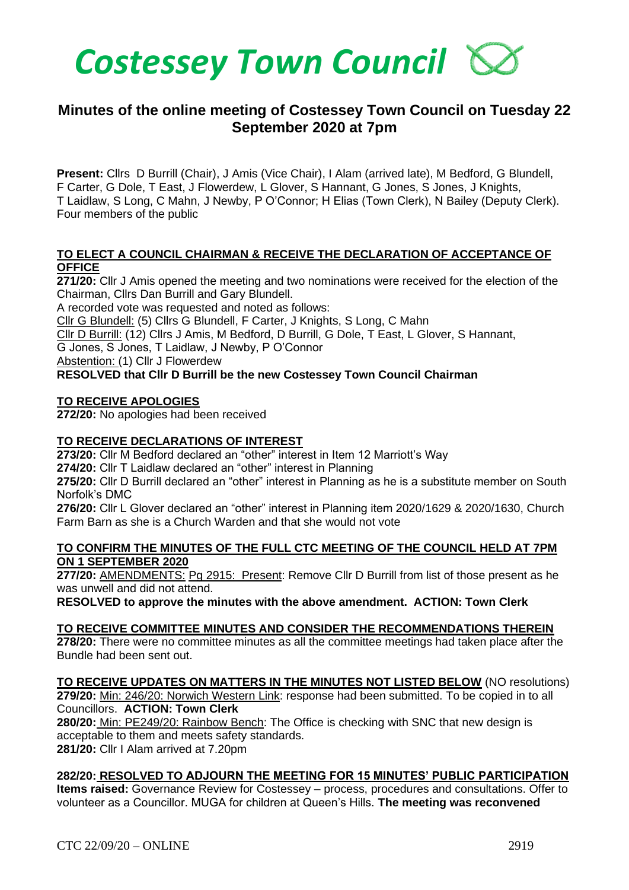

# **Minutes of the online meeting of Costessey Town Council on Tuesday 22 September 2020 at 7pm**

**Present:** Cllrs D Burrill (Chair), J Amis (Vice Chair), I Alam (arrived late), M Bedford, G Blundell, F Carter, G Dole, T East, J Flowerdew, L Glover, S Hannant, G Jones, S Jones, J Knights, T Laidlaw, S Long, C Mahn, J Newby, P O'Connor; H Elias (Town Clerk), N Bailey (Deputy Clerk). Four members of the public

### **TO ELECT A COUNCIL CHAIRMAN & RECEIVE THE DECLARATION OF ACCEPTANCE OF OFFICE**

**271/20:** Cllr J Amis opened the meeting and two nominations were received for the election of the Chairman, Cllrs Dan Burrill and Gary Blundell.

A recorded vote was requested and noted as follows:

Cllr G Blundell: (5) Cllrs G Blundell, F Carter, J Knights, S Long, C Mahn

Cllr D Burrill: (12) Cllrs J Amis, M Bedford, D Burrill, G Dole, T East, L Glover, S Hannant,

G Jones, S Jones, T Laidlaw, J Newby, P O'Connor

Abstention: (1) Cllr J Flowerdew

### **RESOLVED that Cllr D Burrill be the new Costessey Town Council Chairman**

### **TO RECEIVE APOLOGIES**

**272/20:** No apologies had been received

### **TO RECEIVE DECLARATIONS OF INTEREST**

**273/20:** Cllr M Bedford declared an "other" interest in Item 12 Marriott's Way

**274/20:** Cllr T Laidlaw declared an "other" interest in Planning

**275/20:** Cllr D Burrill declared an "other" interest in Planning as he is a substitute member on South Norfolk's DMC

**276/20:** Cllr L Glover declared an "other" interest in Planning item 2020/1629 & 2020/1630, Church Farm Barn as she is a Church Warden and that she would not vote

#### **TO CONFIRM THE MINUTES OF THE FULL CTC MEETING OF THE COUNCIL HELD AT 7PM ON 1 SEPTEMBER 2020**

**277/20:** AMENDMENTS: Pg 2915: Present: Remove Cllr D Burrill from list of those present as he was unwell and did not attend.

**RESOLVED to approve the minutes with the above amendment. ACTION: Town Clerk**

### **TO RECEIVE COMMITTEE MINUTES AND CONSIDER THE RECOMMENDATIONS THEREIN**

**278/20:** There were no committee minutes as all the committee meetings had taken place after the Bundle had been sent out.

**TO RECEIVE UPDATES ON MATTERS IN THE MINUTES NOT LISTED BELOW** (NO resolutions) **279/20:** Min: 246/20: Norwich Western Link: response had been submitted. To be copied in to all Councillors. **ACTION: Town Clerk**

**280/20:** Min: PE249/20: Rainbow Bench: The Office is checking with SNC that new design is acceptable to them and meets safety standards.

**281/20:** Cllr I Alam arrived at 7.20pm

### **282/20: RESOLVED TO ADJOURN THE MEETING FOR 15 MINUTES' PUBLIC PARTICIPATION**

**Items raised:** Governance Review for Costessey – process, procedures and consultations. Offer to volunteer as a Councillor. MUGA for children at Queen's Hills. **The meeting was reconvened**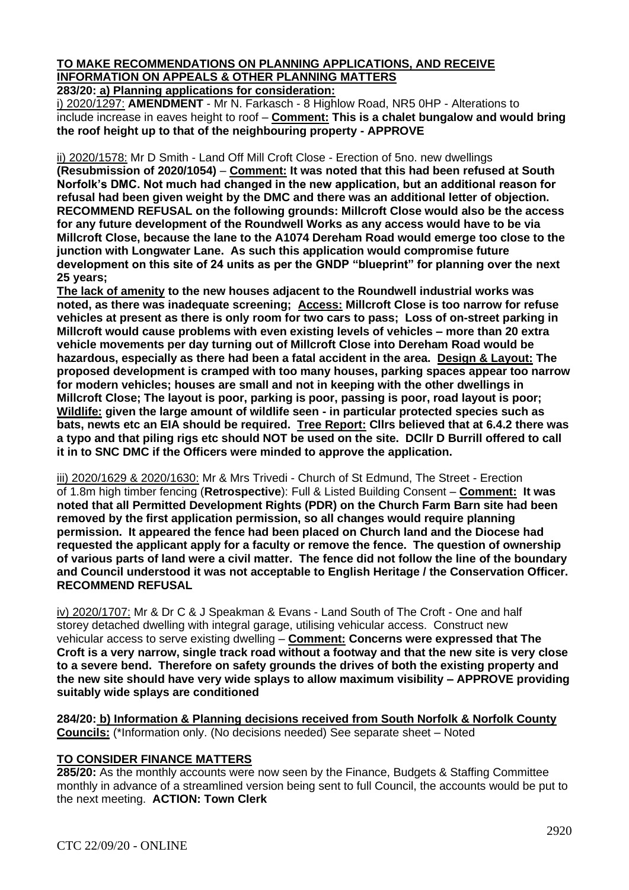# **TO MAKE RECOMMENDATIONS ON PLANNING APPLICATIONS, AND RECEIVE INFORMATION ON APPEALS & OTHER PLANNING MATTERS**

**283/20: a) Planning applications for consideration:**

i) 2020/1297: **AMENDMENT** - Mr N. Farkasch - 8 Highlow Road, NR5 0HP - Alterations to include increase in eaves height to roof – **Comment: This is a chalet bungalow and would bring the roof height up to that of the neighbouring property - APPROVE**

ii) 2020/1578: Mr D Smith - Land Off Mill Croft Close - Erection of 5no. new dwellings

**(Resubmission of 2020/1054)** – **Comment: It was noted that this had been refused at South Norfolk's DMC. Not much had changed in the new application, but an additional reason for refusal had been given weight by the DMC and there was an additional letter of objection. RECOMMEND REFUSAL on the following grounds: Millcroft Close would also be the access for any future development of the Roundwell Works as any access would have to be via Millcroft Close, because the lane to the A1074 Dereham Road would emerge too close to the junction with Longwater Lane. As such this application would compromise future development on this site of 24 units as per the GNDP "blueprint" for planning over the next 25 years;** 

**The lack of amenity to the new houses adjacent to the Roundwell industrial works was noted, as there was inadequate screening; Access: Millcroft Close is too narrow for refuse vehicles at present as there is only room for two cars to pass; Loss of on-street parking in Millcroft would cause problems with even existing levels of vehicles – more than 20 extra vehicle movements per day turning out of Millcroft Close into Dereham Road would be hazardous, especially as there had been a fatal accident in the area. Design & Layout: The proposed development is cramped with too many houses, parking spaces appear too narrow for modern vehicles; houses are small and not in keeping with the other dwellings in Millcroft Close; The layout is poor, parking is poor, passing is poor, road layout is poor; Wildlife: given the large amount of wildlife seen - in particular protected species such as bats, newts etc an EIA should be required. Tree Report: Cllrs believed that at 6.4.2 there was a typo and that piling rigs etc should NOT be used on the site. DCllr D Burrill offered to call it in to SNC DMC if the Officers were minded to approve the application.** 

iii) 2020/1629 & 2020/1630: Mr & Mrs Trivedi - Church of St Edmund, The Street - Erection of 1.8m high timber fencing (**Retrospective**): Full & Listed Building Consent – **Comment: It was noted that all Permitted Development Rights (PDR) on the Church Farm Barn site had been removed by the first application permission, so all changes would require planning permission. It appeared the fence had been placed on Church land and the Diocese had requested the applicant apply for a faculty or remove the fence. The question of ownership of various parts of land were a civil matter. The fence did not follow the line of the boundary and Council understood it was not acceptable to English Heritage / the Conservation Officer. RECOMMEND REFUSAL**

iv) 2020/1707: Mr & Dr C & J Speakman & Evans - Land South of The Croft - One and half storey detached dwelling with integral garage, utilising vehicular access. Construct new vehicular access to serve existing dwelling – **Comment: Concerns were expressed that The Croft is a very narrow, single track road without a footway and that the new site is very close to a severe bend. Therefore on safety grounds the drives of both the existing property and the new site should have very wide splays to allow maximum visibility – APPROVE providing suitably wide splays are conditioned**

**284/20: b) Information & Planning decisions received from South Norfolk & Norfolk County Councils:** (\*Information only. (No decisions needed) See separate sheet – Noted

### **TO CONSIDER FINANCE MATTERS**

**285/20:** As the monthly accounts were now seen by the Finance, Budgets & Staffing Committee monthly in advance of a streamlined version being sent to full Council, the accounts would be put to the next meeting. **ACTION: Town Clerk**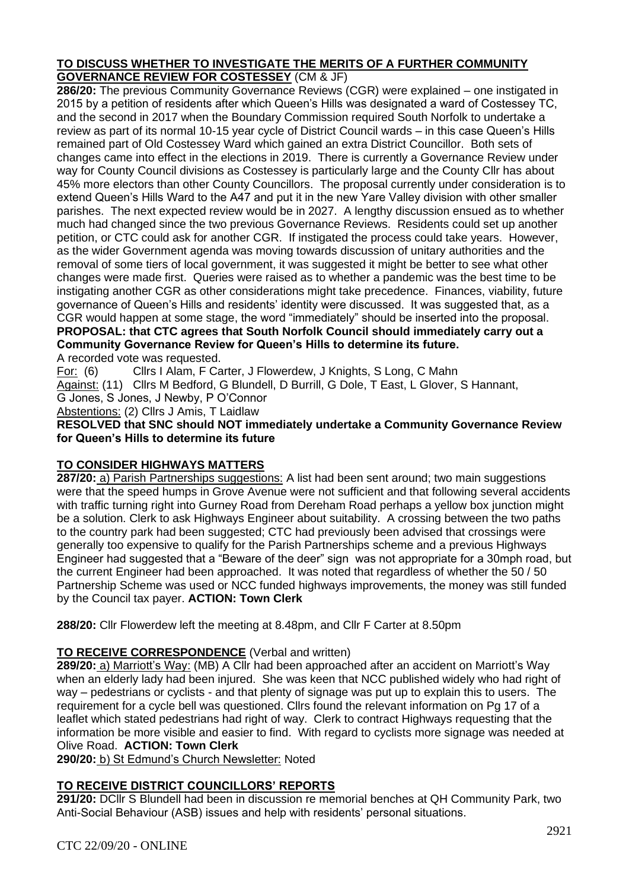### **TO DISCUSS WHETHER TO INVESTIGATE THE MERITS OF A FURTHER COMMUNITY GOVERNANCE REVIEW FOR COSTESSEY** (CM & JF)

**286/20:** The previous Community Governance Reviews (CGR) were explained – one instigated in 2015 by a petition of residents after which Queen's Hills was designated a ward of Costessey TC, and the second in 2017 when the Boundary Commission required South Norfolk to undertake a review as part of its normal 10-15 year cycle of District Council wards – in this case Queen's Hills remained part of Old Costessey Ward which gained an extra District Councillor. Both sets of changes came into effect in the elections in 2019. There is currently a Governance Review under way for County Council divisions as Costessey is particularly large and the County Cllr has about 45% more electors than other County Councillors. The proposal currently under consideration is to extend Queen's Hills Ward to the A47 and put it in the new Yare Valley division with other smaller parishes. The next expected review would be in 2027. A lengthy discussion ensued as to whether much had changed since the two previous Governance Reviews. Residents could set up another petition, or CTC could ask for another CGR. If instigated the process could take years. However, as the wider Government agenda was moving towards discussion of unitary authorities and the removal of some tiers of local government, it was suggested it might be better to see what other changes were made first. Queries were raised as to whether a pandemic was the best time to be instigating another CGR as other considerations might take precedence. Finances, viability, future governance of Queen's Hills and residents' identity were discussed. It was suggested that, as a CGR would happen at some stage, the word "immediately" should be inserted into the proposal. **PROPOSAL: that CTC agrees that South Norfolk Council should immediately carry out a Community Governance Review for Queen's Hills to determine its future.**

A recorded vote was requested.

For: (6) Cllrs I Alam, F Carter, J Flowerdew, J Knights, S Long, C Mahn

Against: (11) Cllrs M Bedford, G Blundell, D Burrill, G Dole, T East, L Glover, S Hannant,

G Jones, S Jones, J Newby, P O'Connor

Abstentions: (2) Cllrs J Amis, T Laidlaw

### **RESOLVED that SNC should NOT immediately undertake a Community Governance Review for Queen's Hills to determine its future**

# **TO CONSIDER HIGHWAYS MATTERS**

**287/20:** a) Parish Partnerships suggestions: A list had been sent around; two main suggestions were that the speed humps in Grove Avenue were not sufficient and that following several accidents with traffic turning right into Gurney Road from Dereham Road perhaps a yellow box junction might be a solution. Clerk to ask Highways Engineer about suitability. A crossing between the two paths to the country park had been suggested; CTC had previously been advised that crossings were generally too expensive to qualify for the Parish Partnerships scheme and a previous Highways Engineer had suggested that a "Beware of the deer" sign was not appropriate for a 30mph road, but the current Engineer had been approached. It was noted that regardless of whether the 50 / 50 Partnership Scheme was used or NCC funded highways improvements, the money was still funded by the Council tax payer. **ACTION: Town Clerk**

**288/20:** Cllr Flowerdew left the meeting at 8.48pm, and Cllr F Carter at 8.50pm

# **TO RECEIVE CORRESPONDENCE** (Verbal and written)

**289/20:** a) Marriott's Way: (MB) A Cllr had been approached after an accident on Marriott's Way when an elderly lady had been injured. She was keen that NCC published widely who had right of way – pedestrians or cyclists - and that plenty of signage was put up to explain this to users. The requirement for a cycle bell was questioned. Cllrs found the relevant information on Pg 17 of a leaflet which stated pedestrians had right of way. Clerk to contract Highways requesting that the information be more visible and easier to find. With regard to cyclists more signage was needed at Olive Road. **ACTION: Town Clerk**

**290/20:** b) St Edmund's Church Newsletter: Noted

# **TO RECEIVE DISTRICT COUNCILLORS' REPORTS**

**291/20:** DCllr S Blundell had been in discussion re memorial benches at QH Community Park, two Anti-Social Behaviour (ASB) issues and help with residents' personal situations.